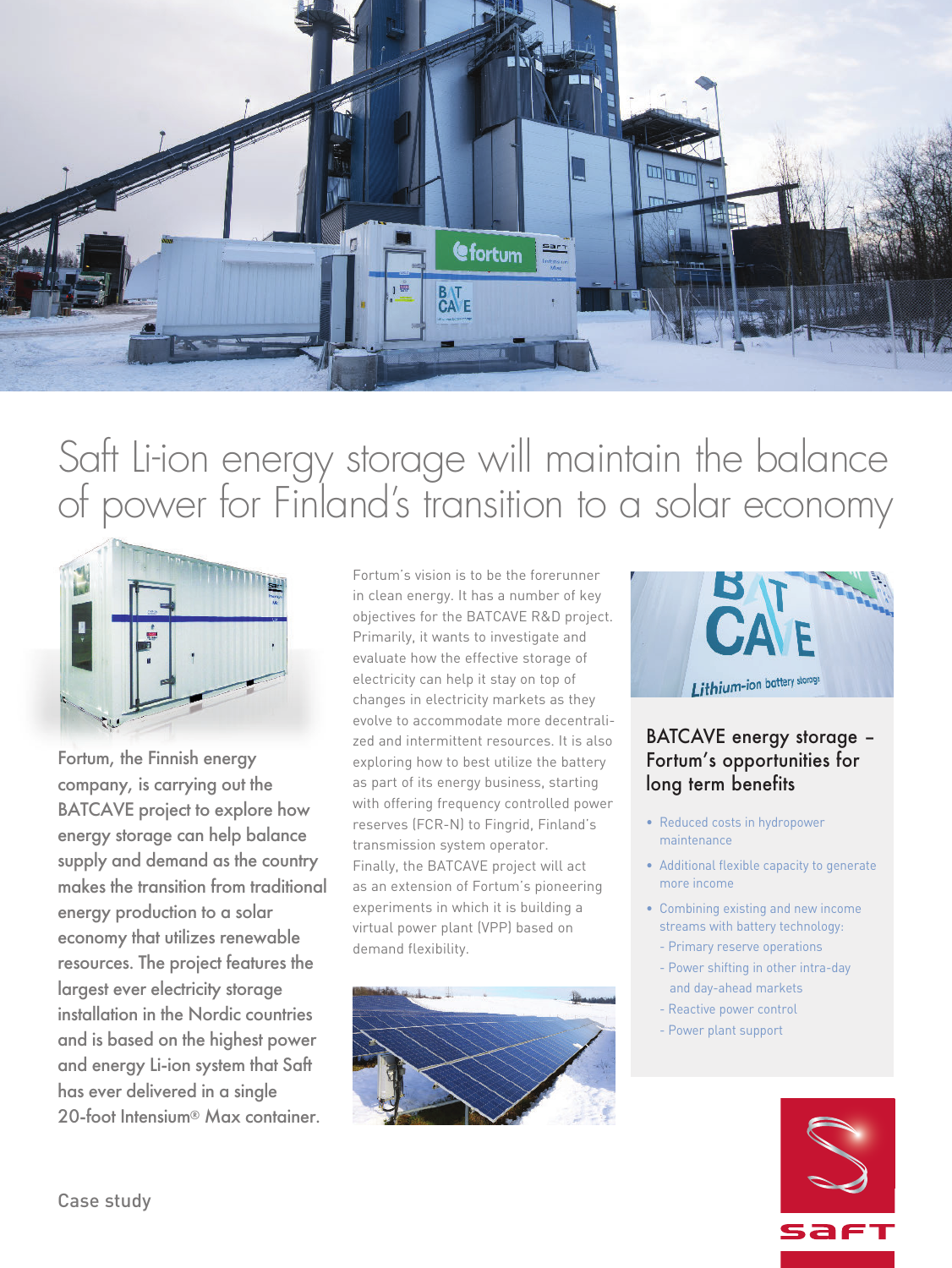

# Saft Li-ion energy storage will maintain the balance of power for Finland's transition to a solar economy



Fortum, the Finnish energy company, is carrying out the BATCAVE project to explore how energy storage can help balance supply and demand as the country makes the transition from traditional energy production to a solar economy that utilizes renewable resources. The project features the largest ever electricity storage installation in the Nordic countries and is based on the highest power and energy Li-ion system that Saft has ever delivered in a single 20-foot Intensium® Max container.

Fortum's vision is to be the forerunner in clean energy. It has a number of key objectives for the BATCAVE R&D project. Primarily, it wants to investigate and evaluate how the effective storage of electricity can help it stay on top of changes in electricity markets as they evolve to accommodate more decentralized and intermittent resources. It is also exploring how to best utilize the battery as part of its energy business, starting with offering frequency controlled power reserves (FCR-N) to Fingrid, Finland's transmission system operator. Finally, the BATCAVE project will act as an extension of Fortum's pioneering experiments in which it is building a virtual power plant (VPP) based on demand flexibility.





## BATCAVE energy storage – Fortum's opportunities for long term benefits

- Reduced costs in hydropower maintenance
- Additional flexible capacity to generate more income
- Combining existing and new income streams with battery technology:
- Primary reserve operations
- Power shifting in other intra-day and day-ahead markets
- Reactive power control
- Power plant support